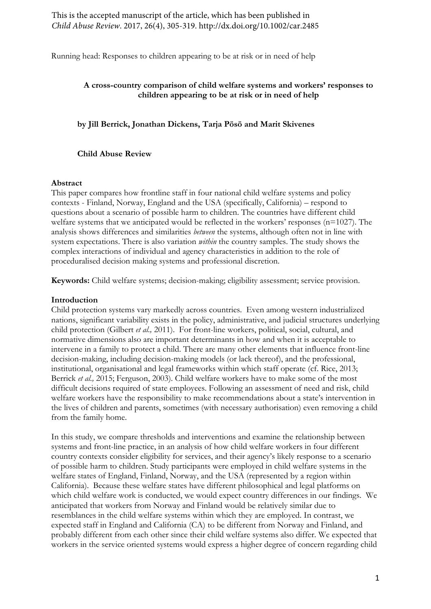This is the accepted manuscript of the article, which has been published in *Child Abuse Review*. 2017, 26(4), 305-319. http://dx.doi.org/10.1002/car.2485

Running head: Responses to children appearing to be at risk or in need of help

# **A cross-country comparison of child welfare systems and workers' responses to children appearing to be at risk or in need of help**

# **by Jill Berrick, Jonathan Dickens, Tarja Pösö and Marit Skivenes**

## **Child Abuse Review**

### **Abstract**

This paper compares how frontline staff in four national child welfare systems and policy contexts - Finland, Norway, England and the USA (specifically, California) – respond to questions about a scenario of possible harm to children. The countries have different child welfare systems that we anticipated would be reflected in the workers' responses (n=1027). The analysis shows differences and similarities *between* the systems, although often not in line with system expectations. There is also variation *within* the country samples. The study shows the complex interactions of individual and agency characteristics in addition to the role of proceduralised decision making systems and professional discretion.

**Keywords:** Child welfare systems; decision-making; eligibility assessment; service provision.

## **Introduction**

Child protection systems vary markedly across countries. Even among western industrialized nations, significant variability exists in the policy, administrative, and judicial structures underlying child protection (Gilbert *et al.,* 2011). For front-line workers, political, social, cultural, and normative dimensions also are important determinants in how and when it is acceptable to intervene in a family to protect a child. There are many other elements that influence front-line decision-making, including decision-making models (or lack thereof), and the professional, institutional, organisational and legal frameworks within which staff operate (cf. Rice, 2013; Berrick *et al.,* 2015; Ferguson, 2003). Child welfare workers have to make some of the most difficult decisions required of state employees. Following an assessment of need and risk, child welfare workers have the responsibility to make recommendations about a state's intervention in the lives of children and parents, sometimes (with necessary authorisation) even removing a child from the family home.

In this study, we compare thresholds and interventions and examine the relationship between systems and front-line practice, in an analysis of how child welfare workers in four different country contexts consider eligibility for services, and their agency's likely response to a scenario of possible harm to children. Study participants were employed in child welfare systems in the welfare states of England, Finland, Norway, and the USA (represented by a region within California). Because these welfare states have different philosophical and legal platforms on which child welfare work is conducted, we would expect country differences in our findings. We anticipated that workers from Norway and Finland would be relatively similar due to resemblances in the child welfare systems within which they are employed. In contrast, we expected staff in England and California (CA) to be different from Norway and Finland, and probably different from each other since their child welfare systems also differ. We expected that workers in the service oriented systems would express a higher degree of concern regarding child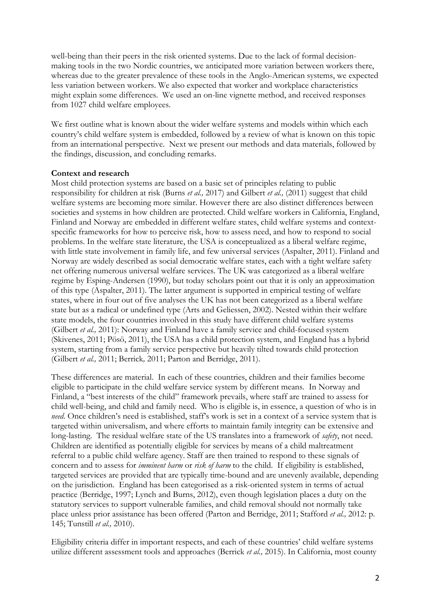well-being than their peers in the risk oriented systems. Due to the lack of formal decisionmaking tools in the two Nordic countries, we anticipated more variation between workers there, whereas due to the greater prevalence of these tools in the Anglo-American systems, we expected less variation between workers. We also expected that worker and workplace characteristics might explain some differences. We used an on-line vignette method, and received responses from 1027 child welfare employees.

We first outline what is known about the wider welfare systems and models within which each country's child welfare system is embedded, followed by a review of what is known on this topic from an international perspective. Next we present our methods and data materials, followed by the findings, discussion, and concluding remarks.

### **Context and research**

Most child protection systems are based on a basic set of principles relating to public responsibility for children at risk (Burns *et al.,* 2017) and Gilbert *et al.,* (2011) suggest that child welfare systems are becoming more similar. However there are also distinct differences between societies and systems in how children are protected. Child welfare workers in California, England, Finland and Norway are embedded in different welfare states, child welfare systems and contextspecific frameworks for how to perceive risk, how to assess need, and how to respond to social problems. In the welfare state literature, the USA is conceptualized as a liberal welfare regime, with little state involvement in family life, and few universal services (Aspalter, 2011). Finland and Norway are widely described as social democratic welfare states, each with a tight welfare safety net offering numerous universal welfare services. The UK was categorized as a liberal welfare regime by Esping-Andersen (1990), but today scholars point out that it is only an approximation of this type (Aspalter, 2011). The latter argument is supported in empirical testing of welfare states, where in four out of five analyses the UK has not been categorized as a liberal welfare state but as a radical or undefined type (Arts and Geliessen, 2002). Nested within their welfare state models, the four countries involved in this study have different child welfare systems (Gilbert *et al.,* 2011): Norway and Finland have a family service and child-focused system (Skivenes, 2011; Pösö, 2011), the USA has a child protection system, and England has a hybrid system, starting from a family service perspective but heavily tilted towards child protection (Gilbert *et al.,* 2011; Berrick*,* 2011; Parton and Berridge, 2011).

These differences are material. In each of these countries, children and their families become eligible to participate in the child welfare service system by different means. In Norway and Finland, a "best interests of the child" framework prevails, where staff are trained to assess for child well-being, and child and family need. Who is eligible is, in essence, a question of who is in *need*. Once children's need is established, staff's work is set in a context of a service system that is targeted within universalism, and where efforts to maintain family integrity can be extensive and long-lasting. The residual welfare state of the US translates into a framework of *safety*, not need. Children are identified as potentially eligible for services by means of a child maltreatment referral to a public child welfare agency. Staff are then trained to respond to these signals of concern and to assess for *imminent harm* or *risk of harm* to the child. If eligibility is established, targeted services are provided that are typically time-bound and are unevenly available, depending on the jurisdiction. England has been categorised as a risk-oriented system in terms of actual practice (Berridge, 1997; Lynch and Burns, 2012), even though legislation places a duty on the statutory services to support vulnerable families, and child removal should not normally take place unless prior assistance has been offered (Parton and Berridge, 2011; Stafford *et al.,* 2012: p. 145; Tunstill *et al.,* 2010).

Eligibility criteria differ in important respects, and each of these countries' child welfare systems utilize different assessment tools and approaches (Berrick *et al.,* 2015). In California, most county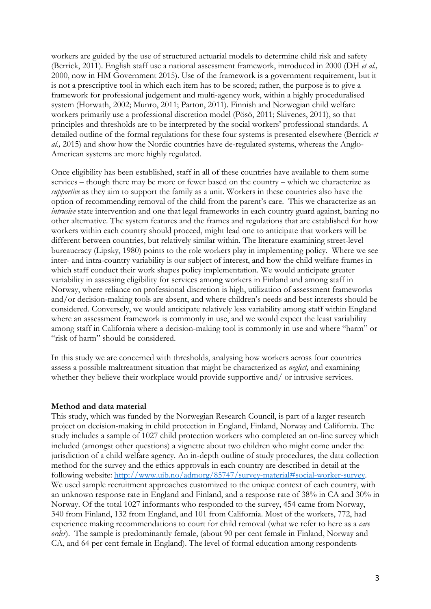workers are guided by the use of structured actuarial models to determine child risk and safety (Berrick, 2011). English staff use a national assessment framework, introduced in 2000 (DH *et al.,* 2000, now in HM Government 2015). Use of the framework is a government requirement, but it is not a prescriptive tool in which each item has to be scored; rather, the purpose is to give a framework for professional judgement and multi-agency work, within a highly proceduralised system (Horwath, 2002; Munro, 2011; Parton, 2011). Finnish and Norwegian child welfare workers primarily use a professional discretion model (Pösö, 2011; Skivenes, 2011), so that principles and thresholds are to be interpreted by the social workers' professional standards. A detailed outline of the formal regulations for these four systems is presented elsewhere (Berrick *et al.,* 2015) and show how the Nordic countries have de-regulated systems, whereas the Anglo-American systems are more highly regulated.

Once eligibility has been established, staff in all of these countries have available to them some services – though there may be more or fewer based on the country – which we characterize as *supportive* as they aim to support the family as a unit. Workers in these countries also have the option of recommending removal of the child from the parent's care. This we characterize as an *intrusive* state intervention and one that legal frameworks in each country guard against, barring no other alternative. The system features and the frames and regulations that are established for how workers within each country should proceed, might lead one to anticipate that workers will be different between countries, but relatively similar within. The literature examining street-level bureaucracy (Lipsky, 1980) points to the role workers play in implementing policy. Where we see inter- and intra-country variability is our subject of interest, and how the child welfare frames in which staff conduct their work shapes policy implementation. We would anticipate greater variability in assessing eligibility for services among workers in Finland and among staff in Norway, where reliance on professional discretion is high, utilization of assessment frameworks and/or decision-making tools are absent, and where children's needs and best interests should be considered. Conversely, we would anticipate relatively less variability among staff within England where an assessment framework is commonly in use, and we would expect the least variability among staff in California where a decision-making tool is commonly in use and where "harm" or "risk of harm" should be considered.

In this study we are concerned with thresholds, analysing how workers across four countries assess a possible maltreatment situation that might be characterized as *neglect,* and examining whether they believe their workplace would provide supportive and/ or intrusive services.

#### **Method and data material**

This study, which was funded by the Norwegian Research Council, is part of a larger research project on decision-making in child protection in England, Finland, Norway and California. The study includes a sample of 1027 child protection workers who completed an on-line survey which included (amongst other questions) a vignette about two children who might come under the jurisdiction of a child welfare agency. An in-depth outline of study procedures, the data collection method for the survey and the ethics approvals in each country are described in detail at the following website: [http://www.uib.no/admorg/85747/survey-material#social-worker-survey.](http://www.uib.no/admorg/85747/survey-material#social-worker-survey)  We used sample recruitment approaches customized to the unique context of each country, with an unknown response rate in England and Finland, and a response rate of 38% in CA and 30% in Norway. Of the total 1027 informants who responded to the survey, 454 came from Norway, 340 from Finland, 132 from England, and 101 from California. Most of the workers, 772, had experience making recommendations to court for child removal (what we refer to here as a *care order*). The sample is predominantly female, (about 90 per cent female in Finland, Norway and CA, and 64 per cent female in England). The level of formal education among respondents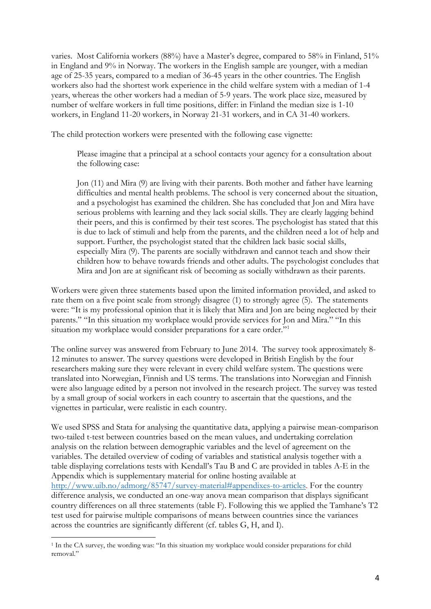varies. Most California workers (88%) have a Master's degree, compared to 58% in Finland, 51% in England and 9% in Norway. The workers in the English sample are younger, with a median age of 25-35 years, compared to a median of 36-45 years in the other countries. The English workers also had the shortest work experience in the child welfare system with a median of 1-4 years, whereas the other workers had a median of 5-9 years. The work place size, measured by number of welfare workers in full time positions, differ: in Finland the median size is 1-10 workers, in England 11-20 workers, in Norway 21-31 workers, and in CA 31-40 workers.

The child protection workers were presented with the following case vignette:

Please imagine that a principal at a school contacts your agency for a consultation about the following case:

Jon (11) and Mira (9) are living with their parents. Both mother and father have learning difficulties and mental health problems. The school is very concerned about the situation, and a psychologist has examined the children. She has concluded that Jon and Mira have serious problems with learning and they lack social skills. They are clearly lagging behind their peers, and this is confirmed by their test scores. The psychologist has stated that this is due to lack of stimuli and help from the parents, and the children need a lot of help and support. Further, the psychologist stated that the children lack basic social skills, especially Mira (9). The parents are socially withdrawn and cannot teach and show their children how to behave towards friends and other adults. The psychologist concludes that Mira and Jon are at significant risk of becoming as socially withdrawn as their parents.

Workers were given three statements based upon the limited information provided, and asked to rate them on a five point scale from strongly disagree (1) to strongly agree (5). The statements were: "It is my professional opinion that it is likely that Mira and Jon are being neglected by their parents." "In this situation my workplace would provide services for Jon and Mira." "In this situation my workplace would consider preparations for a care order."[1](#page-3-0)

The online survey was answered from February to June 2014. The survey took approximately 8- 12 minutes to answer. The survey questions were developed in British English by the four researchers making sure they were relevant in every child welfare system. The questions were translated into Norwegian, Finnish and US terms. The translations into Norwegian and Finnish were also language edited by a person not involved in the research project. The survey was tested by a small group of social workers in each country to ascertain that the questions, and the vignettes in particular, were realistic in each country.

We used SPSS and Stata for analysing the quantitative data, applying a pairwise mean-comparison two-tailed t-test between countries based on the mean values, and undertaking correlation analysis on the relation between demographic variables and the level of agreement on the variables. The detailed overview of coding of variables and statistical analysis together with a table displaying correlations tests with Kendall's Tau B and C are provided in tables A-E in the Appendix which is supplementary material for online hosting available at [http://www.uib.no/admorg/85747/survey-material#appendixes-to-articles.](http://www.uib.no/admorg/85747/survey-material#appendixes-to-articles) For the country difference analysis, we conducted an one-way anova mean comparison that displays significant country differences on all three statements (table F). Following this we applied the Tamhane's T2 test used for pairwise multiple comparisons of means between countries since the variances across the countries are significantly different (cf. tables G, H, and I).

1

<span id="page-3-0"></span><sup>1</sup> In the CA survey, the wording was: "In this situation my workplace would consider preparations for child removal."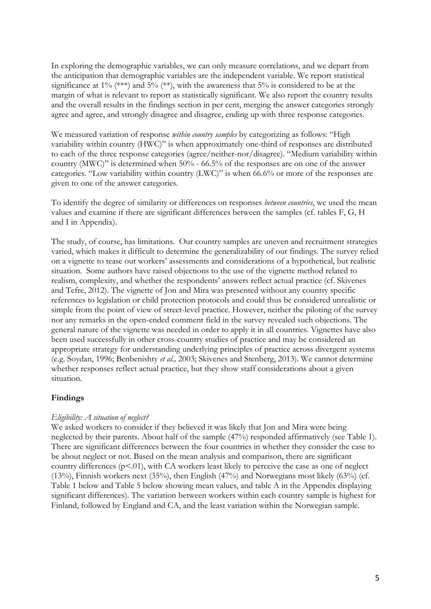In exploring the demographic variables, we can only measure correlations, and we depart from the anticipation that demographic variables are the independent variable. We report statistical significance at 1% (\*\*\*) and 5% (\*\*), with the awareness that 5% is considered to be at the margin of what is relevant to report as statistically significant. We also report the country results and the overall results in the findings section in per cent, merging the answer categories strongly agree and agree, and strongly disagree and disagree, ending up with three response categories.

We measured variation of response *within country samples* by categorizing as follows: "High variability within country (HWC)" is when approximately one-third of responses are distributed to each of the three response categories (agree/neither-nor/disagree). "Medium variability within country (MWC)" is determined when 50% - 66.5% of the responses are on one of the answer categories. "Low variability within country (LWC)" is when 66.6% or more of the responses are given to one of the answer categories.

To identify the degree of similarity or differences on responses *between countries*, we used the mean values and examine if there are significant differences between the samples (cf. tables F, G, H and I in Appendix).

The study, of course, has limitations. Our country samples are uneven and recruitment strategies varied, which makes it difficult to determine the generalizability of our findings. The survey relied on a vignette to tease out workers' assessments and considerations of a hypothetical, but realistic situation. Some authors have raised objections to the use of the vignette method related to realism, complexity, and whether the respondents' answers reflect actual practice (cf. Skivenes and Tefre, 2012). The vignette of Jon and Mira was presented without any country specific references to legislation or child protection protocols and could thus be considered unrealistic or simple from the point of view of street-level practice. However, neither the piloting of the survey nor any remarks in the open-ended comment field in the survey revealed such objections. The general nature of the vignette was needed in order to apply it in all countries. Vignettes have also been used successfully in other cross-country studies of practice and may be considered an appropriate strategy for understanding underlying principles of practice across divergent systems (e.g. Soydan, 1996; Benbenishty *et al.,* 2003; Skivenes and Stenberg, 2013). We cannot determine whether responses reflect actual practice, but they show staff considerations about a given situation.

### **Findings**

### *Eligibility: A situation of neglect?*

We asked workers to consider if they believed it was likely that Jon and Mira were being neglected by their parents. About half of the sample (47%) responded affirmatively (see Table 1). There are significant differences between the four countries in whether they consider the case to be about neglect or not. Based on the mean analysis and comparison, there are significant country differences  $(p<.01)$ , with CA workers least likely to perceive the case as one of neglect (13%), Finnish workers next (35%), then English (47%) and Norwegians most likely (63%) (cf. Table 1 below and Table 5 below showing mean values, and table A in the Appendix displaying significant differences). The variation between workers within each country sample is highest for Finland, followed by England and CA, and the least variation within the Norwegian sample.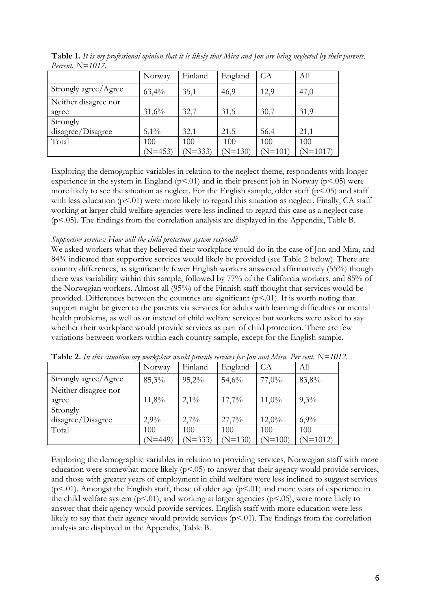|                      | Norway    | Finland   | England   | CA        | All        |
|----------------------|-----------|-----------|-----------|-----------|------------|
| Strongly agree/Agree | 63,4%     | 35,1      | 46,9      | 12,9      | 47,0       |
| Neither disagree nor |           |           |           |           |            |
| agree                | 31,6%     | 32,7      | 31,5      | 30,7      | 31,9       |
| Strongly             |           |           |           |           |            |
| disagree/Disagree    | $5,1\%$   | 32,1      | 21,5      | 56,4      | 21,1       |
| Total                | 100       | 100       | 100       | 100       | 100        |
|                      | $(N=453)$ | $(N=333)$ | $(N=130)$ | $(N=101)$ | $N = 1017$ |

**Table 1.** *It is my professional opinion that it is likely that Mira and Jon are being neglected by their parents. Percent. N=1017.*

Exploring the demographic variables in relation to the neglect theme, respondents with longer experience in the system in England ( $p<01$ ) and in their present job in Norway ( $p<05$ ) were more likely to see the situation as neglect. For the English sample, older staff ( $p<0.05$ ) and staff with less education  $(p<0.01)$  were more likely to regard this situation as neglect. Finally, CA staff working at larger child welfare agencies were less inclined to regard this case as a neglect case (p<.05). The findings from the correlation analysis are displayed in the Appendix, Table B.

### *Supportive services: How will the child protection system respond?*

We asked workers what they believed their workplace would do in the case of Jon and Mira, and 84% indicated that supportive services would likely be provided (see Table 2 below). There are country differences, as significantly fewer English workers answered affirmatively (55%) though there was variability within this sample, followed by 77% of the California workers, and 85% of the Norwegian workers. Almost all (95%) of the Finnish staff thought that services would be provided. Differences between the countries are significant  $(p<.01)$ . It is worth noting that support might be given to the parents via services for adults with learning difficulties or mental health problems, as well as or instead of child welfare services: but workers were asked to say whether their workplace would provide services as part of child protection. There are few variations between workers within each country sample, except for the English sample.

|                      | Norway    | Finland   | England   | CA        | All        |
|----------------------|-----------|-----------|-----------|-----------|------------|
| Strongly agree/Agree | 85,3%     | $95,2\%$  | 54,6%     | 77,0%     | 83,8%      |
| Neither disagree nor |           |           |           |           |            |
| agree                | 11,8%     | $2,1\%$   | 17,7%     | $11,0\%$  | 9,3%       |
| Strongly             |           |           |           |           |            |
| disagree/Disagree    | 2.9%      | 2,7%      | 27,7%     | 12,0%     | 6,9%       |
| Total                | 100       | 100       | 100       | 100       | 100        |
|                      | $(N=449)$ | $(N=333)$ | $(N=130)$ | $N = 100$ | $(N=1012)$ |

**Table 2.** *In this situation my workplace would provide services for Jon and Mira. Per cent. N=1012.*

Exploring the demographic variables in relation to providing services, Norwegian staff with more education were somewhat more likely  $(p<.05)$  to answer that their agency would provide services, and those with greater years of employment in child welfare were less inclined to suggest services  $(p<.01)$ . Amongst the English staff, those of older age  $(p<.01)$  and more years of experience in the child welfare system  $(p<0.01)$ , and working at larger agencies  $(p<0.05)$ , were more likely to answer that their agency would provide services. English staff with more education were less likely to say that their agency would provide services  $(p<0.01)$ . The findings from the correlation analysis are displayed in the Appendix, Table B.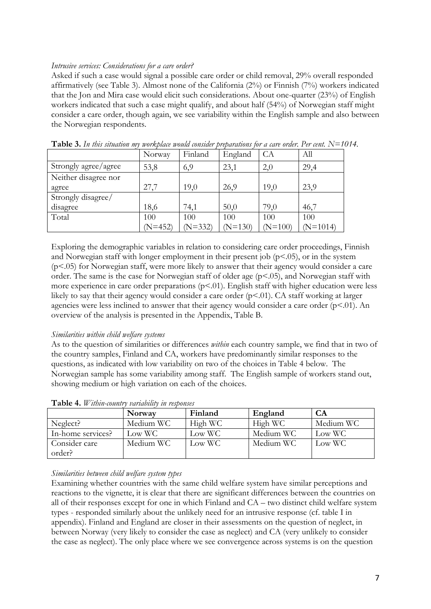## *Intrusive services: Considerations for a care order?*

Asked if such a case would signal a possible care order or child removal, 29% overall responded affirmatively (see Table 3). Almost none of the California (2%) or Finnish (7%) workers indicated that the Jon and Mira case would elicit such considerations. About one-quarter (23%) of English workers indicated that such a case might qualify, and about half (54%) of Norwegian staff might consider a care order, though again, we see variability within the English sample and also between the Norwegian respondents.

|                      | Norway    | Finland   | England   | CA        | All        |
|----------------------|-----------|-----------|-----------|-----------|------------|
| Strongly agree/agree | 53,8      | 6,9       | 23,1      | 2,0       | 29,4       |
| Neither disagree nor |           |           |           |           |            |
| agree                | 27,7      | 19,0      | 26,9      | 19,0      | 23,9       |
| Strongly disagree/   |           |           |           |           |            |
| disagree             | 18,6      | 74,1      | 50,0      | 79,0      | 46,7       |
| Total                | 100       | 100       | 100       | 100       | 100        |
|                      | $(N=452)$ | $(N=332)$ | $(N=130)$ | $(N=100)$ | $(N=1014)$ |

**Table 3.** *In this situation my workplace would consider preparations for a care order. Per cent. N=1014.*

Exploring the demographic variables in relation to considering care order proceedings, Finnish and Norwegian staff with longer employment in their present job ( $p$ <.05), or in the system (p<.05) for Norwegian staff, were more likely to answer that their agency would consider a care order. The same is the case for Norwegian staff of older age (p<.05), and Norwegian staff with more experience in care order preparations (p<.01). English staff with higher education were less likely to say that their agency would consider a care order  $(p<0.01)$ . CA staff working at larger agencies were less inclined to answer that their agency would consider a care order  $(p<.01)$ . An overview of the analysis is presented in the Appendix, Table B.

### *Similarities within child welfare systems*

As to the question of similarities or differences *within* each country sample, we find that in two of the country samples, Finland and CA, workers have predominantly similar responses to the questions, as indicated with low variability on two of the choices in Table 4 below. The Norwegian sample has some variability among staff. The English sample of workers stand out, showing medium or high variation on each of the choices.

| $\sim$ while the prison connect providence the residence |           |         |           |           |  |  |
|----------------------------------------------------------|-----------|---------|-----------|-----------|--|--|
|                                                          | Norway    | Finland | England   | <b>CA</b> |  |  |
| Neglect?                                                 | Medium WC | High WC | High WC   | Medium WC |  |  |
| In-home services?                                        | Low WC    | Low WC  | Medium WC | Low WC    |  |  |
| Consider care                                            | Medium WC | Low WC  | Medium WC | Low WC    |  |  |
| order?                                                   |           |         |           |           |  |  |

**Table 4.** *Within-country variability in responses*

### *Similarities between child welfare system types*

Examining whether countries with the same child welfare system have similar perceptions and reactions to the vignette, it is clear that there are significant differences between the countries on all of their responses except for one in which Finland and CA – two distinct child welfare system types - responded similarly about the unlikely need for an intrusive response (cf. table I in appendix). Finland and England are closer in their assessments on the question of neglect, in between Norway (very likely to consider the case as neglect) and CA (very unlikely to consider the case as neglect). The only place where we see convergence across systems is on the question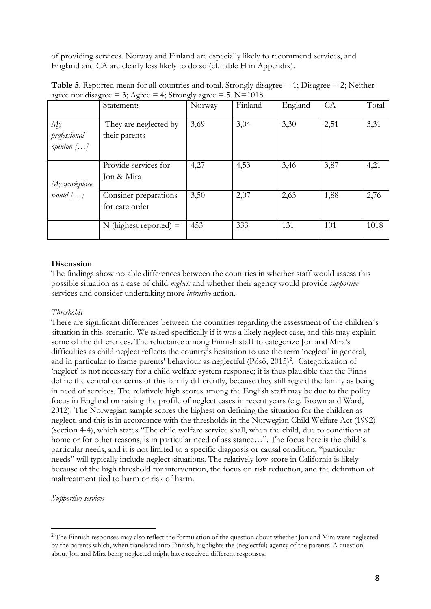of providing services. Norway and Finland are especially likely to recommend services, and England and CA are clearly less likely to do so (cf. table H in Appendix).

|                                                     | Statements                              | Norway | Finland | England | CA   | Total |
|-----------------------------------------------------|-----------------------------------------|--------|---------|---------|------|-------|
| My<br>professional<br>opinion $\left[\ldots\right]$ | They are neglected by<br>their parents  | 3,69   | 3,04    | 3,30    | 2,51 | 3,31  |
| My workplace                                        | Provide services for<br>Jon & Mira      | 4,27   | 4,53    | 3,46    | 3,87 | 4,21  |
| <i>would</i> $\left\lceil \ldots \right\rceil$      | Consider preparations<br>for care order | 3,50   | 2,07    | 2,63    | 1,88 | 2,76  |
|                                                     | N (highest reported) $=$                | 453    | 333     | 131     | 101  | 1018  |

**Table 5**. Reported mean for all countries and total. Strongly disagree = 1; Disagree = 2; Neither agree nor disagree  $= 3$ ; Agree  $= 4$ ; Strongly agree  $= 5$ . N=1018.

### **Discussion**

The findings show notable differences between the countries in whether staff would assess this possible situation as a case of child *neglect;* and whether their agency would provide *supportive*  services and consider undertaking more *intrusive* action.

### *Thresholds*

There are significant differences between the countries regarding the assessment of the children´s situation in this scenario. We asked specifically if it was a likely neglect case, and this may explain some of the differences. The reluctance among Finnish staff to categorize Jon and Mira's difficulties as child neglect reflects the country's hesitation to use the term 'neglect' in general, and in particular to frame parents' behaviour as neglectful (Pösö, [2](#page-7-0)015)<sup>2</sup>. Categorization of 'neglect' is not necessary for a child welfare system response; it is thus plausible that the Finns define the central concerns of this family differently, because they still regard the family as being in need of services. The relatively high scores among the English staff may be due to the policy focus in England on raising the profile of neglect cases in recent years (e.g. Brown and Ward, 2012). The Norwegian sample scores the highest on defining the situation for the children as neglect, and this is in accordance with the thresholds in the Norwegian Child Welfare Act (1992) (section 4-4), which states "The child welfare service shall, when the child, due to conditions at home or for other reasons, is in particular need of assistance...". The focus here is the child's particular needs, and it is not limited to a specific diagnosis or causal condition; "particular needs" will typically include neglect situations. The relatively low score in California is likely because of the high threshold for intervention, the focus on risk reduction, and the definition of maltreatment tied to harm or risk of harm.

*Supportive services*

1

<span id="page-7-0"></span><sup>&</sup>lt;sup>2</sup> The Finnish responses may also reflect the formulation of the question about whether Jon and Mira were neglected by the parents which, when translated into Finnish, highlights the (neglectful) agency of the parents. A question about Jon and Mira being neglected might have received different responses.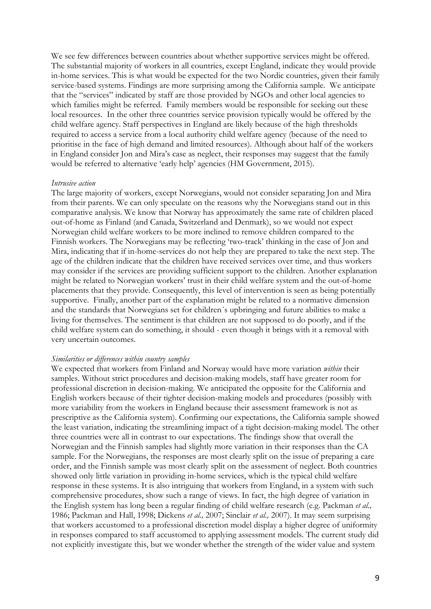We see few differences between countries about whether supportive services might be offered. The substantial majority of workers in all countries, except England, indicate they would provide in-home services. This is what would be expected for the two Nordic countries, given their family service-based systems. Findings are more surprising among the California sample. We anticipate that the "services" indicated by staff are those provided by NGOs and other local agencies to which families might be referred. Family members would be responsible for seeking out these local resources. In the other three countries service provision typically would be offered by the child welfare agency. Staff perspectives in England are likely because of the high thresholds required to access a service from a local authority child welfare agency (because of the need to prioritise in the face of high demand and limited resources). Although about half of the workers in England consider Jon and Mira's case as neglect, their responses may suggest that the family would be referred to alternative 'early help' agencies (HM Government, 2015).

#### *Intrusive action*

The large majority of workers, except Norwegians, would not consider separating Jon and Mira from their parents. We can only speculate on the reasons why the Norwegians stand out in this comparative analysis. We know that Norway has approximately the same rate of children placed out-of-home as Finland (and Canada, Switzerland and Denmark), so we would not expect Norwegian child welfare workers to be more inclined to remove children compared to the Finnish workers. The Norwegians may be reflecting 'two-track' thinking in the case of Jon and Mira, indicating that if in-home-services do not help they are prepared to take the next step. The age of the children indicate that the children have received services over time, and thus workers may consider if the services are providing sufficient support to the children. Another explanation might be related to Norwegian workers' trust in their child welfare system and the out-of-home placements that they provide. Consequently, this level of intervention is seen as being potentially supportive. Finally, another part of the explanation might be related to a normative dimension and the standards that Norwegians set for children´s upbringing and future abilities to make a living for themselves. The sentiment is that children are not supposed to do poorly, and if the child welfare system can do something, it should - even though it brings with it a removal with very uncertain outcomes.

#### *Similarities or differences within country samples*

We expected that workers from Finland and Norway would have more variation *within* their samples. Without strict procedures and decision-making models, staff have greater room for professional discretion in decision-making. We anticipated the opposite for the California and English workers because of their tighter decision-making models and procedures (possibly with more variability from the workers in England because their assessment framework is not as prescriptive as the California system). Confirming our expectations, the California sample showed the least variation, indicating the streamlining impact of a tight decision-making model. The other three countries were all in contrast to our expectations. The findings show that overall the Norwegian and the Finnish samples had slightly more variation in their responses than the CA sample. For the Norwegians, the responses are most clearly split on the issue of preparing a care order, and the Finnish sample was most clearly split on the assessment of neglect. Both countries showed only little variation in providing in-home services, which is the typical child welfare response in these systems. It is also intriguing that workers from England, in a system with such comprehensive procedures, show such a range of views. In fact, the high degree of variation in the English system has long been a regular finding of child welfare research (e.g. Packman *et al.,* 1986; Packman and Hall, 1998; Dickens *et al.,* 2007; Sinclair *et al.,* 2007). It may seem surprising that workers accustomed to a professional discretion model display a higher degree of uniformity in responses compared to staff accustomed to applying assessment models. The current study did not explicitly investigate this, but we wonder whether the strength of the wider value and system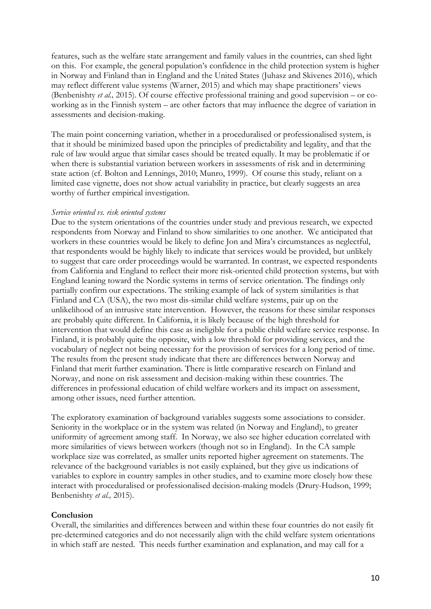features, such as the welfare state arrangement and family values in the countries, can shed light on this. For example, the general population's confidence in the child protection system is higher in Norway and Finland than in England and the United States (Juhasz and Skivenes 2016), which may reflect different value systems (Warner, 2015) and which may shape practitioners' views (Benbenishty *et al.,* 2015). Of course effective professional training and good supervision – or coworking as in the Finnish system – are other factors that may influence the degree of variation in assessments and decision-making.

The main point concerning variation, whether in a proceduralised or professionalised system, is that it should be minimized based upon the principles of predictability and legality, and that the rule of law would argue that similar cases should be treated equally. It may be problematic if or when there is substantial variation between workers in assessments of risk and in determining state action (cf. Bolton and Lennings, 2010; Munro, 1999). Of course this study, reliant on a limited case vignette, does not show actual variability in practice, but clearly suggests an area worthy of further empirical investigation.

#### *Service oriented vs. risk oriented systems*

Due to the system orientations of the countries under study and previous research, we expected respondents from Norway and Finland to show similarities to one another. We anticipated that workers in these countries would be likely to define Jon and Mira's circumstances as neglectful, that respondents would be highly likely to indicate that services would be provided, but unlikely to suggest that care order proceedings would be warranted. In contrast, we expected respondents from California and England to reflect their more risk-oriented child protection systems, but with England leaning toward the Nordic systems in terms of service orientation. The findings only partially confirm our expectations. The striking example of lack of system similarities is that Finland and CA (USA), the two most dis-similar child welfare systems, pair up on the unlikelihood of an intrusive state intervention. However, the reasons for these similar responses are probably quite different. In California, it is likely because of the high threshold for intervention that would define this case as ineligible for a public child welfare service response. In Finland, it is probably quite the opposite, with a low threshold for providing services, and the vocabulary of neglect not being necessary for the provision of services for a long period of time. The results from the present study indicate that there are differences between Norway and Finland that merit further examination. There is little comparative research on Finland and Norway, and none on risk assessment and decision-making within these countries. The differences in professional education of child welfare workers and its impact on assessment, among other issues, need further attention.

The exploratory examination of background variables suggests some associations to consider. Seniority in the workplace or in the system was related (in Norway and England), to greater uniformity of agreement among staff. In Norway, we also see higher education correlated with more similarities of views between workers (though not so in England). In the CA sample workplace size was correlated, as smaller units reported higher agreement on statements. The relevance of the background variables is not easily explained, but they give us indications of variables to explore in country samples in other studies, and to examine more closely how these interact with proceduralised or professionalised decision-making models (Drury-Hudson, 1999; Benbenishty *et al.,* 2015).

### **Conclusion**

Overall, the similarities and differences between and within these four countries do not easily fit pre-determined categories and do not necessarily align with the child welfare system orientations in which staff are nested. This needs further examination and explanation, and may call for a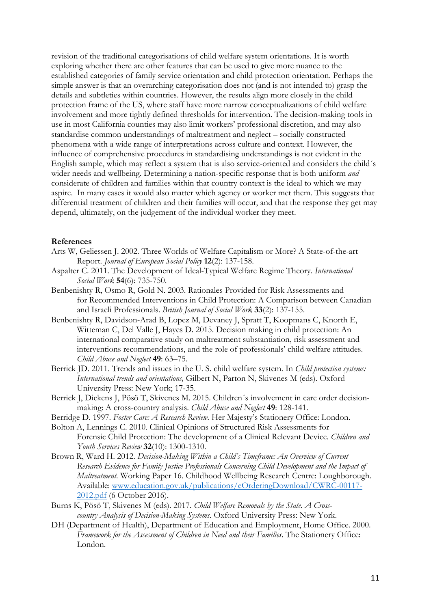revision of the traditional categorisations of child welfare system orientations. It is worth exploring whether there are other features that can be used to give more nuance to the established categories of family service orientation and child protection orientation. Perhaps the simple answer is that an overarching categorisation does not (and is not intended to) grasp the details and subtleties within countries. However, the results align more closely in the child protection frame of the US, where staff have more narrow conceptualizations of child welfare involvement and more tightly defined thresholds for intervention. The decision-making tools in use in most California counties may also limit workers' professional discretion, and may also standardise common understandings of maltreatment and neglect – socially constructed phenomena with a wide range of interpretations across culture and context. However, the influence of comprehensive procedures in standardising understandings is not evident in the English sample, which may reflect a system that is also service-oriented and considers the child´s wider needs and wellbeing. Determining a nation-specific response that is both uniform *and* considerate of children and families within that country context is the ideal to which we may aspire. In many cases it would also matter which agency or worker met them. This suggests that differential treatment of children and their families will occur, and that the response they get may depend, ultimately, on the judgement of the individual worker they meet.

#### **References**

- Arts W, Geliessen J. 2002. Three Worlds of Welfare Capitalism or More? A State-of-the-art Report. *Journal of European Social Policy* **12**(2): 137-158.
- Aspalter C. 2011. The Development of Ideal-Typical Welfare Regime Theory. *International Social Work* **54**(6): 735-750.
- Benbenishty R, Osmo R, Gold N. 2003. Rationales Provided for Risk Assessments and for Recommended Interventions in Child Protection: A Comparison between Canadian and Israeli Professionals. *British Journal of Social Work* **33**(2): 137-155.
- Benbenishty R, Davidson-Arad B, Lopez M, Devaney J, Spratt T, Koopmans C, Knorth E, Witteman C, Del Valle J, Hayes D. 2015. Decision making in child protection: An international comparative study on maltreatment substantiation, risk assessment and interventions recommendations, and the role of professionals' child welfare attitudes. *Child Abuse and Neglect* **49**: 63–75.
- Berrick JD. 2011. Trends and issues in the U. S. child welfare system. In *Child protection systems: International trends and orientations,* Gilbert N, Parton N, Skivenes M (eds). Oxford University Press: New York; 17-35.
- Berrick J, Dickens J, Pösö T, Skivenes M. 2015. Children´s involvement in care order decisionmaking: A cross-country analysis. *Child Abuse and Neglect* **49**: 128-141.
- Berridge D. 1997. *Foster Care: A Research Review.* Her Majesty's Stationery Office: London.
- Bolton A, Lennings C. 2010. Clinical Opinions of Structured Risk Assessments for Forensic Child Protection: The development of a Clinical Relevant Device. *Children and Youth Services Review* **32**(10): 1300-1310.
- Brown R, Ward H. 2012. *Decision-Making Within a Child's Timeframe: An Overview of Current Research Evidence for Family Justice Professionals Concerning Child Development and the Impact of Maltreatment.* Working Paper 16. Childhood Wellbeing Research Centre: Loughborough. Available: [www.education.gov.uk/publications/eOrderingDownload/CWRC-00117-](http://www.education.gov.uk/publications/eOrderingDownload/CWRC-00117-2012.pdf) [2012.pdf](http://www.education.gov.uk/publications/eOrderingDownload/CWRC-00117-2012.pdf) (6 October 2016).
- Burns K, Pösö T, Skivenes M (eds). 2017*. Child Welfare Removals by the State. A Crosscountry Analysis of Decision-Making Systems.* Oxford University Press: New York.
- DH (Department of Health), Department of Education and Employment, Home Office. 2000. *Framework for the Assessment of Children in Need and their Families*. The Stationery Office: London.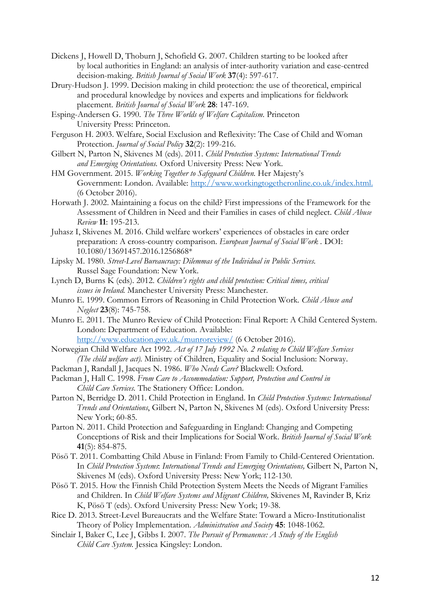- Dickens J, Howell D, Thoburn J, Schofield G. 2007. Children starting to be looked after by local authorities in England: an analysis of inter-authority variation and case-centred decision-making. *British Journal of Social Work* **37**(4): 597-617.
- Drury-Hudson J. 1999. Decision making in child protection: the use of theoretical, empirical and procedural knowledge by novices and experts and implications for fieldwork placement. *British Journal of Social Work* **28**: 147-169.
- Esping-Andersen G. 1990. *The Three Worlds of Welfare Capitalism.* Princeton University Press: Princeton.
- Ferguson H. 2003. Welfare, Social Exclusion and Reflexivity: The Case of Child and Woman Protection. *Journal of Social Policy* **32**(2): 199-216.
- Gilbert N, Parton N, Skivenes M (eds). 2011. *Child Protection Systems: International Trends and Emerging Orientations.* Oxford University Press: New York.
- HM Government. 2015. *Working Together to Safeguard Children.* Her Majesty's Government: London. Available: [http://www.workingtogetheronline.co.uk/index.html.](http://www.workingtogetheronline.co.uk/index.html) (6 October 2016).
- Horwath J. 2002. Maintaining a focus on the child? First impressions of the Framework for the Assessment of Children in Need and their Families in cases of child neglect. *Child Abuse Review* **11**: 195-213.
- Juhasz I, Skivenes M. 2016. Child welfare workers' experiences of obstacles in care order preparation: A cross-country comparison. *European Journal of Social Work .* DOI: 10.1080/13691457.2016.1256868\*
- Lipsky M. 1980. *Street-Level Bureaucracy: Dilemmas of the Individual in Public Services.*  Russel Sage Foundation: New York.
- Lynch D, Burns K (eds). 2012. *Children's rights and child protection: Critical times, critical issues in Ireland.* Manchester University Press: Manchester.
- Munro E. 1999. Common Errors of Reasoning in Child Protection Work*. Child Abuse and Neglect* **23**(8): 745-758.
- Munro E. 2011. The Munro Review of Child Protection: Final Report: A Child Centered System. London: Department of Education. Available: <http://www.education.gov.uk./munroreview/> (6 October 2016).
- Norwegian Child Welfare Act 1992. *Act of 17 July 1992 No. 2 relating to Child Welfare Services (The child welfare act).* Ministry of Children, Equality and Social Inclusion: Norway.
- Packman J, Randall J, Jacques N. 1986. *Who Needs Care?* Blackwell: Oxford.
- Packman J, Hall C. 1998. *From Care to Accommodation: Support, Protection and Control in Child Care Services.* The Stationery Office: London.
- Parton N, Berridge D. 2011. Child Protection in England. In *Child Protection Systems: International Trends and Orientations*, Gilbert N, Parton N, Skivenes M (eds). Oxford University Press: New York; 60-85.
- Parton N. 2011. Child Protection and Safeguarding in England: Changing and Competing Conceptions of Risk and their Implications for Social Work. *British Journal of Social Work*  **41**(5): 854-875.
- Pösö T. 2011. Combatting Child Abuse in Finland: From Family to Child-Centered Orientation. In *Child Protection Systems*: *International Trends and Emerging Orientations,* Gilbert N, Parton N, Skivenes M (eds). Oxford University Press: New York; 112-130.
- Pösö T. 2015. How the Finnish Child Protection System Meets the Needs of Migrant Families and Children. In *Child Welfare Systems and Migrant Children,* Skivenes M, Ravinder B, Kriz K, Pösö T (eds). Oxford University Press: New York; 19-38.
- Rice D. 2013. Street-Level Bureaucrats and the Welfare State: Toward a Micro-Institutionalist Theory of Policy Implementation. *Administration and Society* **45**: 1048-1062.
- Sinclair I, Baker C, Lee J, Gibbs I. 2007. *The Pursuit of Permanence: A Study of the English Child Care System.* Jessica Kingsley: London.